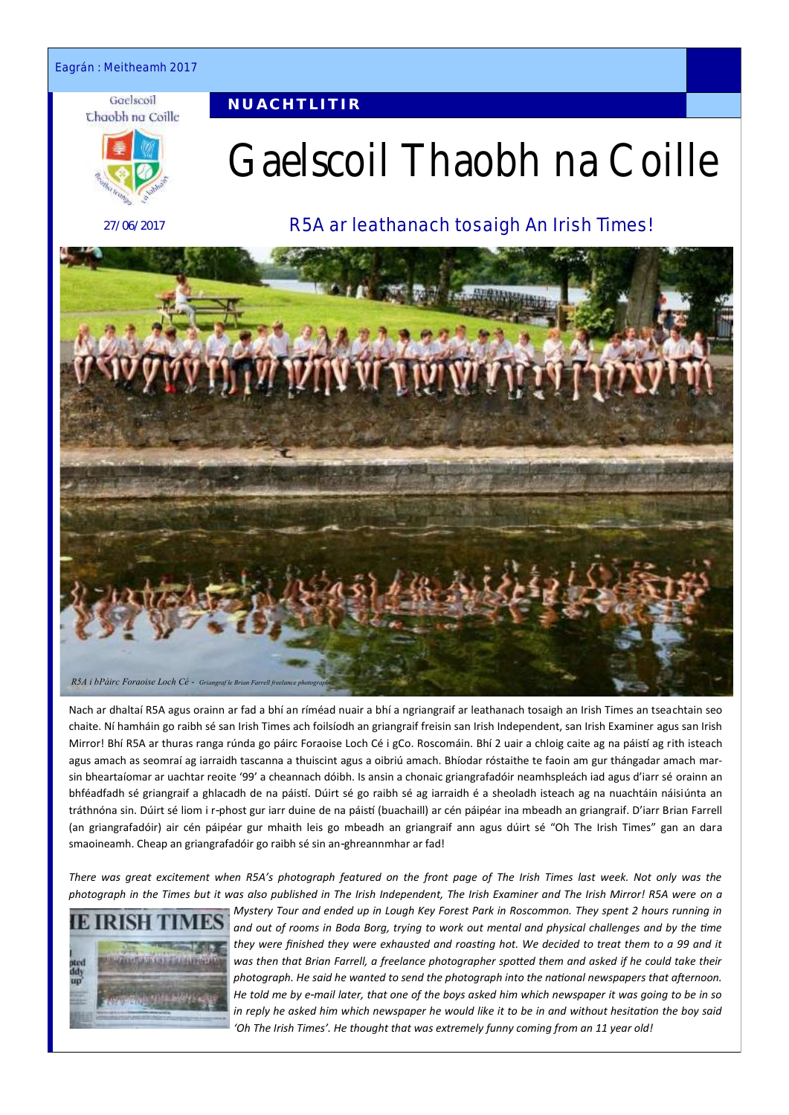Eagrán : Meitheamh 2017

#### Gaelscoil Chaobh na Coille

**N U A C H T L I T I R**



27/06/2017

# Gaelscoil Thaobh na Coille

R5A ar leathanach tosaigh An Irish Times!



Nach ar dhaltaí R5A agus orainn ar fad a bhí an ríméad nuair a bhí a ngriangraif ar leathanach tosaigh an Irish Times an tseachtain seo chaite. Ní hamháin go raibh sé san Irish Times ach foilsíodh an griangraif freisin san Irish Independent, san Irish Examiner agus san Irish Mirror! Bhí R5A ar thuras ranga rúnda go páirc Foraoise Loch Cé i gCo. Roscomáin. Bhí 2 uair a chloig caite ag na páistí ag rith isteach agus amach as seomraí ag iarraidh tascanna a thuiscint agus a oibriú amach. Bhíodar róstaithe te faoin am gur thángadar amach marsin bheartaíomar ar uachtar reoite '99' a cheannach dóibh. Is ansin a chonaic griangrafadóir neamhspleách iad agus d'iarr sé orainn an bhféadfadh sé griangraif a ghlacadh de na páistí. Dúirt sé go raibh sé ag iarraidh é a sheoladh isteach ag na nuachtáin náisiúnta an tráthnóna sin. Dúirt sé liom i r-phost gur iarr duine de na páistí (buachaill) ar cén páipéar ina mbeadh an griangraif. D'iarr Brian Farrell (an griangrafadóir) air cén páipéar gur mhaith leis go mbeadh an griangraif ann agus dúirt sé "Oh The Irish Times" gan an dara smaoineamh. Cheap an griangrafadóir go raibh sé sin an-ghreannmhar ar fad!

*There was great excitement when R5A's photograph featured on the front page of The Irish Times last week. Not only was the photograph in the Times but it was also published in The Irish Independent, The Irish Examiner and The Irish Mirror! R5A were on a* 



*Mystery Tour and ended up in Lough Key Forest Park in Roscommon. They spent 2 hours running in and out of rooms in Boda Borg, trying to work out mental and physical challenges and by the time they were finished they were exhausted and roasting hot. We decided to treat them to a 99 and it*  was then that Brian Farrell, a freelance photographer spotted them and asked if he could take their *photograph. He said he wanted to send the photograph into the national newspapers that afternoon. He told me by e-mail later, that one of the boys asked him which newspaper it was going to be in so in reply he asked him which newspaper he would like it to be in and without hesitation the boy said 'Oh The Irish Times'. He thought that was extremely funny coming from an 11 year old!*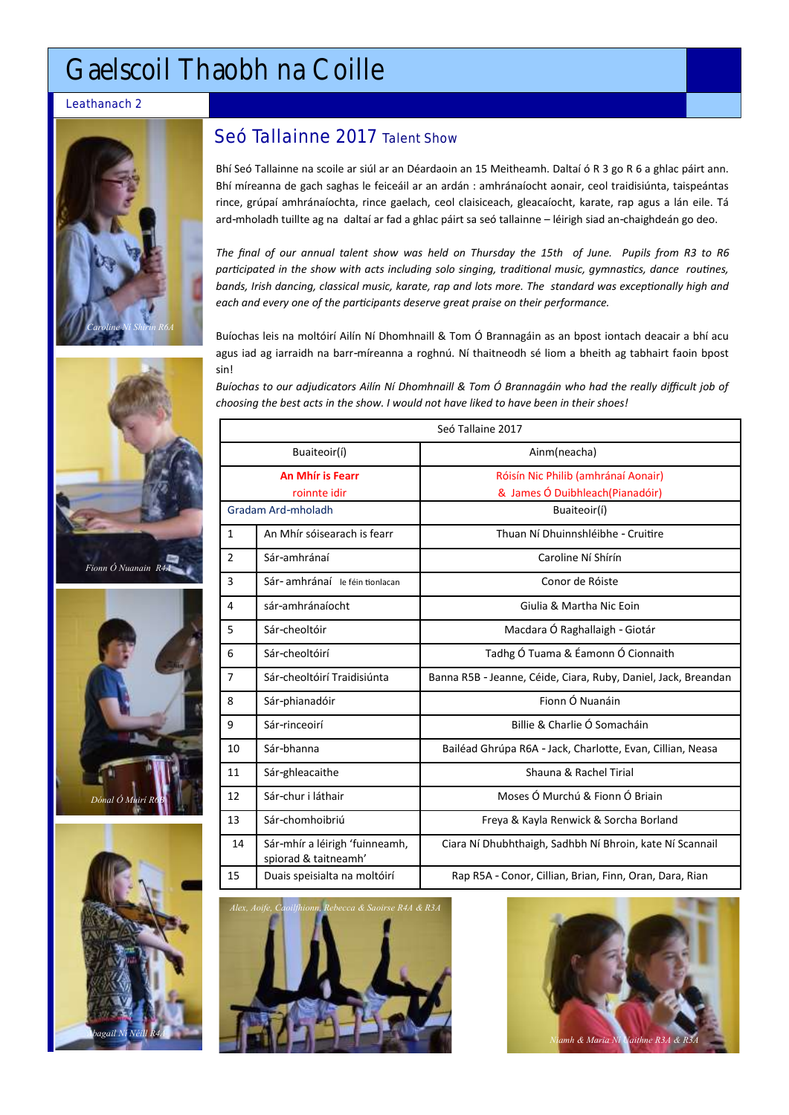# Gaelscoil Thaobh na Coille

#### Leathanach 2









# Seó Tallainne 2017 Talent Show

Bhí Seó Tallainne na scoile ar siúl ar an Déardaoin an 15 Meitheamh. Daltaí ó R 3 go R 6 a ghlac páirt ann. Bhí míreanna de gach saghas le feiceáil ar an ardán : amhránaíocht aonair, ceol traidisiúnta, taispeántas rince, grúpaí amhránaíochta, rince gaelach, ceol claisiceach, gleacaíocht, karate, rap agus a lán eile. Tá ard-mholadh tuillte ag na daltaí ar fad a ghlac páirt sa seó tallainne – léirigh siad an-chaighdeán go deo.

*The final of our annual talent show was held on Thursday the 15th of June. Pupils from R3 to R6 participated in the show with acts including solo singing, traditional music, gymnastics, dance routines, bands, Irish dancing, classical music, karate, rap and lots more. The standard was exceptionally high and each and every one of the participants deserve great praise on their performance.*

Buíochas leis na moltóirí Ailín Ní Dhomhnaill & Tom Ó Brannagáin as an bpost iontach deacair a bhí acu agus iad ag iarraidh na barr-míreanna a roghnú. Ní thaitneodh sé liom a bheith ag tabhairt faoin bpost sin!

*Buíochas to our adjudicators Ailín Ní Dhomhnaill & Tom Ó Brannagáin who had the really difficult job of choosing the best acts in the show. I would not have liked to have been in their shoes!*

| Seó Tallaine 2017                       |                                                        |                                                                         |
|-----------------------------------------|--------------------------------------------------------|-------------------------------------------------------------------------|
| Buaiteoir(í)                            |                                                        | Ainm(neacha)                                                            |
| <b>An Mhír is Fearr</b><br>roinnte idir |                                                        | Róisín Nic Philib (amhránaí Aonair)<br>& James Ó Duibhleach (Pianadóir) |
| Gradam Ard-mholadh                      |                                                        | Buaiteoir(í)                                                            |
| $\mathbf{1}$                            | An Mhír sóisearach is fearr                            | Thuan Ní Dhuinnshléibhe - Cruitire                                      |
| $\overline{2}$                          | Sár-amhránaí                                           | Caroline Ní Shírín                                                      |
| 3                                       | Sár- amhránaí le féin tionlacan                        | Conor de Róiste                                                         |
| 4                                       | sár-amhránaíocht                                       | Giulia & Martha Nic Eoin                                                |
| 5                                       | Sár-cheoltóir                                          | Macdara Ó Raghallaigh - Giotár                                          |
| 6                                       | Sár-cheoltóirí                                         | Tadhg Ó Tuama & Éamonn Ó Cionnaith                                      |
| 7                                       | Sár-cheoltóirí Traidisiúnta                            | Banna R5B - Jeanne, Céide, Ciara, Ruby, Daniel, Jack, Breandan          |
| 8                                       | Sár-phianadóir                                         | Fionn Ó Nuanáin                                                         |
| 9                                       | Sár-rinceoirí                                          | Billie & Charlie Ó Somacháin                                            |
| 10                                      | Sár-bhanna                                             | Bailéad Ghrúpa R6A - Jack, Charlotte, Evan, Cillian, Neasa              |
| 11                                      | Sár-ghleacaithe                                        | Shauna & Rachel Tirial                                                  |
| 12                                      | Sár-chur i láthair                                     | Moses Ó Murchú & Fionn Ó Briain                                         |
| 13                                      | Sár-chomhoibriú                                        | Freya & Kayla Renwick & Sorcha Borland                                  |
| 14                                      | Sár-mhír a léirigh 'fuinneamh,<br>spiorad & taitneamh' | Ciara Ní Dhubhthaigh, Sadhbh Ní Bhroin, kate Ní Scannail                |
| 15                                      | Duais speisialta na moltóirí                           | Rap R5A - Conor, Cillian, Brian, Finn, Oran, Dara, Rian                 |



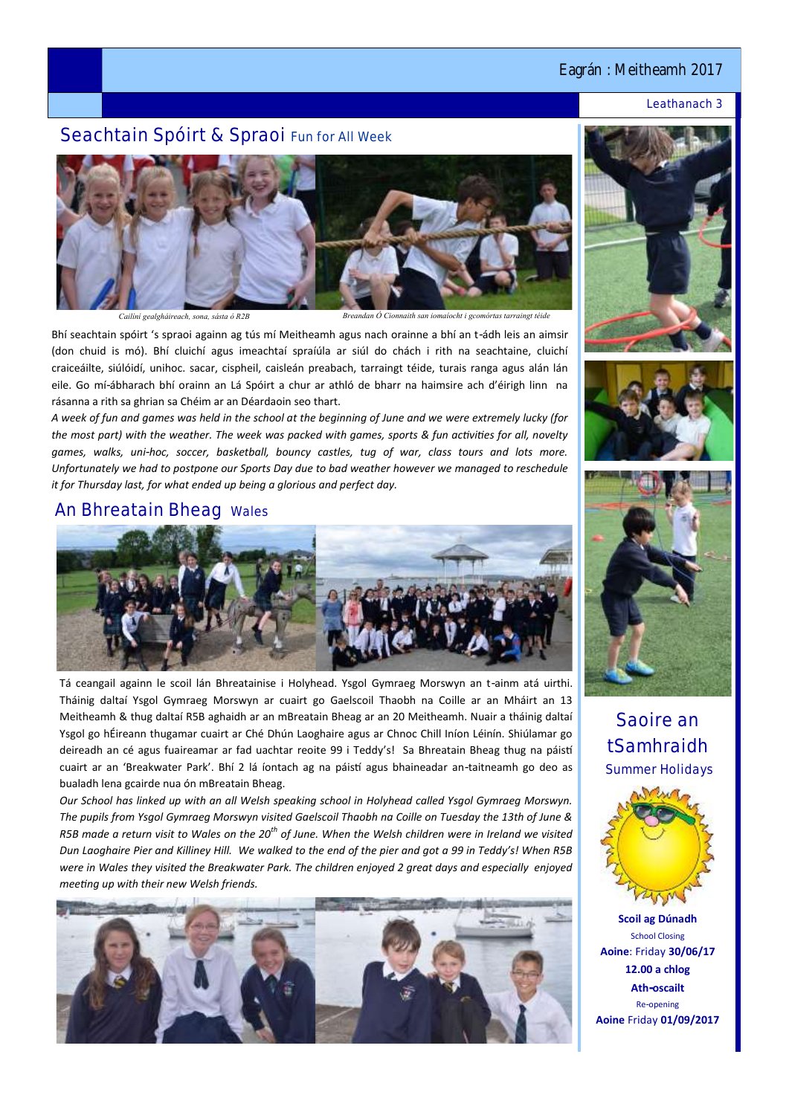## Eagrán : Meitheamh 2017

#### Leathanach 3

# Seachtain Spóirt & Spraoi Fun for All Week



*Cailíní gealgháireach, sona, sásta ó R2B Breandan Ó Cionnaith san iomaíocht i gcomórtas tarraingt téide*

Bhí seachtain spóirt 's spraoi againn ag tús mí Meitheamh agus nach orainne a bhí an t-ádh leis an aimsir (don chuid is mó). Bhí cluichí agus imeachtaí spraíúla ar siúl do chách i rith na seachtaine, cluichí craiceáilte, siúlóidí, unihoc. sacar, cispheil, caisleán preabach, tarraingt téide, turais ranga agus alán lán eile. Go mí-ábharach bhí orainn an Lá Spóirt a chur ar athló de bharr na haimsire ach d'éirigh linn na rásanna a rith sa ghrian sa Chéim ar an Déardaoin seo thart.

*A week of fun and games was held in the school at the beginning of June and we were extremely lucky (for the most part) with the weather. The week was packed with games, sports & fun activities for all, novelty games, walks, uni-hoc, soccer, basketball, bouncy castles, tug of war, class tours and lots more. Unfortunately we had to postpone our Sports Day due to bad weather however we managed to reschedule it for Thursday last, for what ended up being a glorious and perfect day.* 

### An Bhreatain Bheag Wales



Tá ceangail againn le scoil lán Bhreatainise i Holyhead. Ysgol Gymraeg Morswyn an t-ainm atá uirthi. Tháinig daltaí Ysgol Gymraeg Morswyn ar cuairt go Gaelscoil Thaobh na Coille ar an Mháirt an 13 Meitheamh & thug daltaí R5B aghaidh ar an mBreatain Bheag ar an 20 Meitheamh. Nuair a tháinig daltaí Ysgol go hÉireann thugamar cuairt ar Ché Dhún Laoghaire agus ar Chnoc Chill Iníon Léinín. Shiúlamar go deireadh an cé agus fuaireamar ar fad uachtar reoite 99 i Teddy's! Sa Bhreatain Bheag thug na páistí cuairt ar an 'Breakwater Park'. Bhí 2 lá íontach ag na páistí agus bhaineadar an-taitneamh go deo as bualadh lena gcairde nua ón mBreatain Bheag.

*Our School has linked up with an all Welsh speaking school in Holyhead called Ysgol Gymraeg Morswyn. The pupils from Ysgol Gymraeg Morswyn visited Gaelscoil Thaobh na Coille on Tuesday the 13th of June & R5B made a return visit to Wales on the 20th of June. When the Welsh children were in Ireland we visited Dun Laoghaire Pier and Killiney Hill. We walked to the end of the pier and got a 99 in Teddy's! When R5B were in Wales they visited the Breakwater Park. The children enjoyed 2 great days and especially enjoyed meeting up with their new Welsh friends.*









Saoire an tSamhraidh Summer Holidays



**Scoil ag Dúnadh** School Closing **Aoine**: Friday **30/06/17 12.00 a chlog Ath-oscailt** Re-opening **Aoine** Friday **01/09/2017**